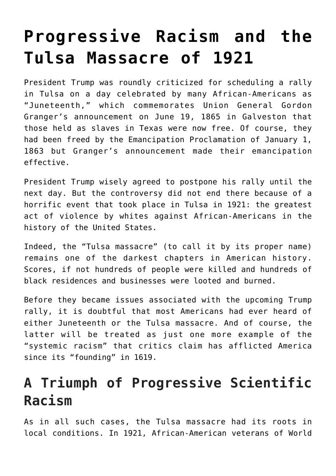## **[Progressive Racism and the](https://intellectualtakeout.org/2020/06/progressive-racism-and-the-tulsa-massacre-of-1921/) [Tulsa Massacre of 1921](https://intellectualtakeout.org/2020/06/progressive-racism-and-the-tulsa-massacre-of-1921/)**

President Trump was roundly criticized for scheduling a rally in Tulsa on a day celebrated by many African-Americans as "Juneteenth," which commemorates Union General Gordon Granger's announcement on June 19, 1865 in Galveston that those held as slaves in Texas were now free. Of course, they had been freed by the Emancipation Proclamation of January 1, 1863 but Granger's announcement made their emancipation effective.

President Trump wisely agreed to postpone his rally until the next day. But the controversy did not end there because of a horrific event that took place in Tulsa in 1921: the greatest act of violence by whites against African-Americans in the history of the United States.

Indeed, the "Tulsa massacre" (to call it by its proper name) remains one of the darkest chapters in American history. Scores, if not hundreds of people were killed and hundreds of black residences and businesses were looted and burned.

Before they became issues associated with the upcoming Trump rally, it is doubtful that most Americans had ever heard of either Juneteenth or the Tulsa massacre. And of course, the latter will be treated as just one more example of the "systemic racism" that critics claim has afflicted America since its "founding" in 1619.

## **A Triumph of Progressive Scientific Racism**

As in all such cases, the Tulsa massacre had its roots in local conditions. In 1921, African-American veterans of World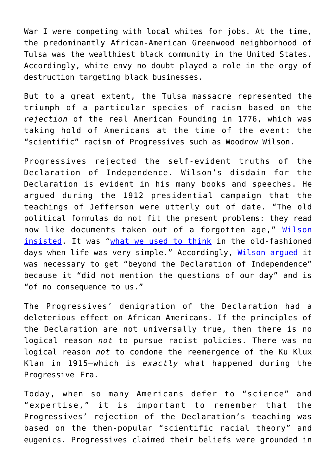War I were competing with local whites for jobs. At the time, the predominantly African-American Greenwood neighborhood of Tulsa was the wealthiest black community in the United States. Accordingly, white envy no doubt played a role in the orgy of destruction targeting black businesses.

But to a great extent, the Tulsa massacre represented the triumph of a particular species of racism based on the *rejection* of the real American Founding in 1776, which was taking hold of Americans at the time of the event: the "scientific" racism of Progressives such as Woodrow Wilson.

Progressives rejected the self-evident truths of the Declaration of Independence. Wilson's disdain for the Declaration is evident in his many books and speeches. He argued during the 1912 presidential campaign that the teachings of Jefferson were utterly out of date. "The old political formulas do not fit the present problems: they read now like documents taken out of a forgotten age," [Wilson](https://books.google.com/books?id=7WpIAAAAYAAJ&pg=PA3&lpg=PA3&dq=old+political+formulas+do+not+fit+the+present+problems+they+read+now+like+documents+taken+out+of+a+forgotten+age&source=bl&ots=BzIOdlodN7&sig=ACfU3U1hnNIVthlmYG31_5LUkI3J3fVNZw&hl=en#v=onepage&q=old%20political%20formulas%20do%20not%20fit%20the%20present%20problems%20they%20read%20now%20like%20documents%20taken%20out%20of%20a%20forgotten%20age&f=false) [insisted.](https://books.google.com/books?id=7WpIAAAAYAAJ&pg=PA3&lpg=PA3&dq=old+political+formulas+do+not+fit+the+present+problems+they+read+now+like+documents+taken+out+of+a+forgotten+age&source=bl&ots=BzIOdlodN7&sig=ACfU3U1hnNIVthlmYG31_5LUkI3J3fVNZw&hl=en#v=onepage&q=old%20political%20formulas%20do%20not%20fit%20the%20present%20problems%20they%20read%20now%20like%20documents%20taken%20out%20of%20a%20forgotten%20age&f=false) It was "[what we used to think](https://books.google.com/books?id=LoljDwAAQBAJ&pg=PT521&lpg=PT521&dq=what+we+used+to+think+in+the+old+fashioned+days+when+life+was+very+simple&source=bl&ots=bLLNUcuuNQ&sig=ACfU3U2O3PCb-Ernz_h7QIFz49Dw5rG1AQ&hl=en#v=onepage&q=what%20we%20used%20to%20think%20in%20the%20old%20fashioned%20days%20when%20life%20was%20very%20simple&f=false) in the old-fashioned days when life was very simple." Accordingly, [Wilson argued](https://www.amazon.com/Woodrow-Liberalism-American-Intellectual-Culture/dp/0742515176) it was necessary to get "beyond the Declaration of Independence" because it "did not mention the questions of our day" and is "of no consequence to us."

The Progressives' denigration of the Declaration had a deleterious effect on African Americans. If the principles of the Declaration are not universally true, then there is no logical reason *not* to pursue racist policies. There was no logical reason *not* to condone the reemergence of the Ku Klux Klan in 1915—which is *exactly* what happened during the Progressive Era.

Today, when so many Americans defer to "science" and "expertise," it is important to remember that the Progressives' rejection of the Declaration's teaching was based on the then-popular "scientific racial theory" and eugenics. Progressives claimed their beliefs were grounded in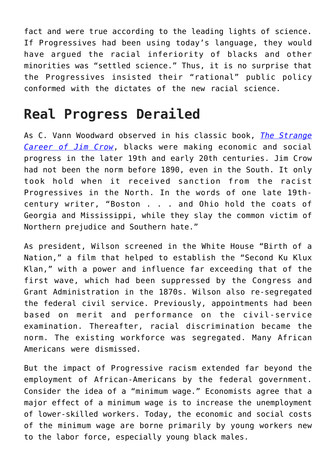fact and were true according to the leading lights of science. If Progressives had been using today's language, they would have argued the racial inferiority of blacks and other minorities was "settled science." Thus, it is no surprise that the Progressives insisted their "rational" public policy conformed with the dictates of the new racial science.

## **Real Progress Derailed**

As C. Vann Woodward observed in his classic book, *[The Strange](https://www.amazon.com/Strange-Career-Jim-Crow/dp/0195146905) [Career of Jim Crow](https://www.amazon.com/Strange-Career-Jim-Crow/dp/0195146905)*, blacks were making economic and social progress in the later 19th and early 20th centuries. Jim Crow had not been the norm before 1890, even in the South. It only took hold when it received sanction from the racist Progressives in the North. In the words of one late 19thcentury writer, "Boston . . . and Ohio hold the coats of Georgia and Mississippi, while they slay the common victim of Northern prejudice and Southern hate."

As president, Wilson screened in the White House "Birth of a Nation," a film that helped to establish the "Second Ku Klux Klan," with a power and influence far exceeding that of the first wave, which had been suppressed by the Congress and Grant Administration in the 1870s. Wilson also re-segregated the federal civil service. Previously, appointments had been based on merit and performance on the civil-service examination. Thereafter, racial discrimination became the norm. The existing workforce was segregated. Many African Americans were dismissed.

But the impact of Progressive racism extended far beyond the employment of African-Americans by the federal government. Consider the idea of a "minimum wage." Economists agree that a major effect of a minimum wage is to increase the unemployment of lower-skilled workers. Today, the economic and social costs of the minimum wage are borne primarily by young workers new to the labor force, especially young black males.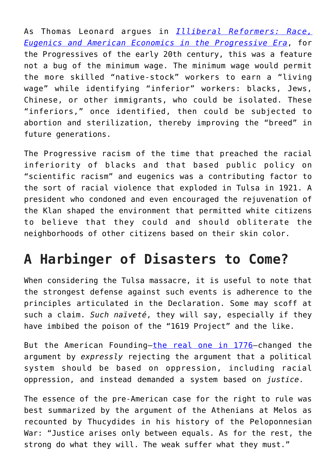As Thomas Leonard argues in *[Illiberal Reformers: Race,](https://press.princeton.edu/titles/10572.html) [Eugenics and American Economics in the Progressive Era](https://press.princeton.edu/titles/10572.html)*, for the Progressives of the early 20th century, this was a feature not a bug of the minimum wage. The minimum wage would permit the more skilled "native-stock" workers to earn a "living wage" while identifying "inferior" workers: blacks, Jews, Chinese, or other immigrants, who could be isolated. These "inferiors," once identified, then could be subjected to abortion and sterilization, thereby improving the "breed" in future generations.

The Progressive racism of the time that preached the racial inferiority of blacks and that based public policy on "scientific racism" and eugenics was a contributing factor to the sort of racial violence that exploded in Tulsa in 1921. A president who condoned and even encouraged the rejuvenation of the Klan shaped the environment that permitted white citizens to believe that they could and should obliterate the neighborhoods of other citizens based on their skin color.

## **A Harbinger of Disasters to Come?**

When considering the Tulsa massacre, it is useful to note that the strongest defense against such events is adherence to the principles articulated in the Declaration. Some may scoff at such a claim. *Such naïveté*, they will say, especially if they have imbibed the poison of the "1619 Project" and the like.

But the American Founding—[the real one in 1776—](https://americanmind.org/post/the-1619-riots/)changed the argument by *expressly* rejecting the argument that a political system should be based on oppression, including racial oppression, and instead demanded a system based on *justice*.

The essence of the pre-American case for the right to rule was best summarized by the argument of the Athenians at Melos as recounted by Thucydides in his history of the Peloponnesian War: "Justice arises only between equals. As for the rest, the strong do what they will. The weak suffer what they must."